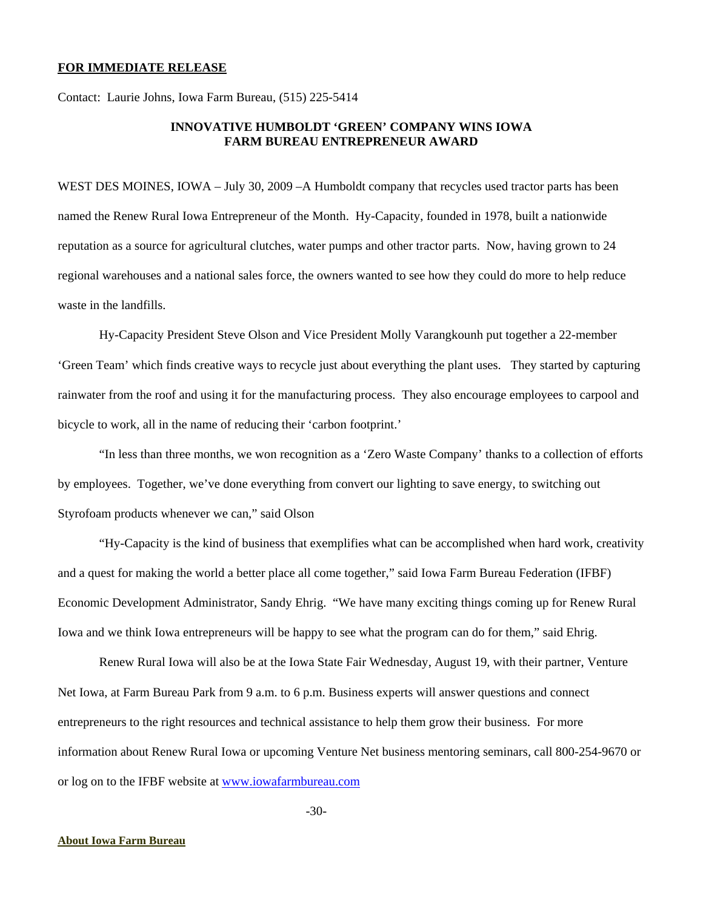## **FOR IMMEDIATE RELEASE**

Contact: Laurie Johns, Iowa Farm Bureau, (515) 225-5414

## **INNOVATIVE HUMBOLDT 'GREEN' COMPANY WINS IOWA FARM BUREAU ENTREPRENEUR AWARD**

WEST DES MOINES, IOWA – July 30, 2009 – A Humboldt company that recycles used tractor parts has been named the Renew Rural Iowa Entrepreneur of the Month. Hy-Capacity, founded in 1978, built a nationwide reputation as a source for agricultural clutches, water pumps and other tractor parts. Now, having grown to 24 regional warehouses and a national sales force, the owners wanted to see how they could do more to help reduce waste in the landfills.

Hy-Capacity President Steve Olson and Vice President Molly Varangkounh put together a 22-member 'Green Team' which finds creative ways to recycle just about everything the plant uses. They started by capturing rainwater from the roof and using it for the manufacturing process. They also encourage employees to carpool and bicycle to work, all in the name of reducing their 'carbon footprint.'

 "In less than three months, we won recognition as a 'Zero Waste Company' thanks to a collection of efforts by employees. Together, we've done everything from convert our lighting to save energy, to switching out Styrofoam products whenever we can," said Olson

 "Hy-Capacity is the kind of business that exemplifies what can be accomplished when hard work, creativity and a quest for making the world a better place all come together," said Iowa Farm Bureau Federation (IFBF) Economic Development Administrator, Sandy Ehrig. "We have many exciting things coming up for Renew Rural Iowa and we think Iowa entrepreneurs will be happy to see what the program can do for them," said Ehrig.

Renew Rural Iowa will also be at the Iowa State Fair Wednesday, August 19, with their partner, Venture Net Iowa, at Farm Bureau Park from 9 a.m. to 6 p.m. Business experts will answer questions and connect entrepreneurs to the right resources and technical assistance to help them grow their business. For more information about Renew Rural Iowa or upcoming Venture Net business mentoring seminars, call 800-254-9670 or or log on to the IFBF website at [www.iowafarmbureau.com](http://www.iowafarmbureau.com/)